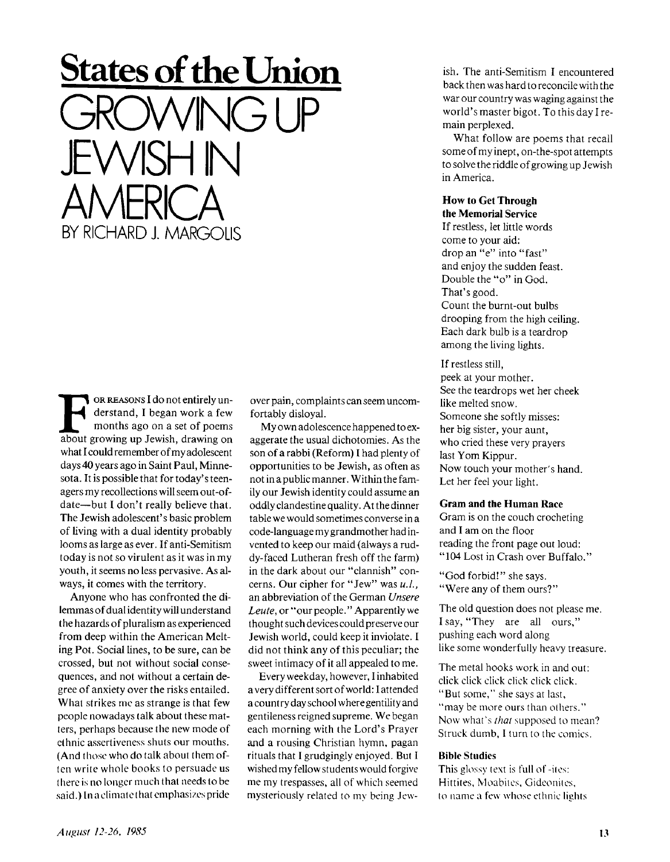# **States of the Union**   $NG$ JEWISH IN **AMERICA** BY RICHARD J. MARGOLIS

**FRAMALLE CONCOCONSTERN OR REASONS I do not entirely understand, I began work a few months ago on a set of poems about growing up Jewish, drawing on** OR REASONS I do not entirely understand, I began work a few months ago on a set of poems what I could remember of my adolescent days 40 years ago in Saint Paul, Minnesota. It is possible that for today's teenagers my recollections will seem out-ofdate—but I don't really believe that. The Jewish adolescent's basic problem of living with a dual identity probably looms as large as ever. If anti-Semitism today is not so virulent as it was in my youth, it seems no less pervasive. As always, it comes with the territory.

Anyone who has confronted the dilemmas of dual identity will understand the hazards of pluralism as experienced from deep within the American Melting Pot. Social lines, to be sure, can be crossed, but not without social consequences, and not without a certain degree of anxiety over the risks entailed. What strikes me as strange is that few people nowadays talk about these matters, perhaps because the new mode of ethnic assertiveness shuts our mouths. (And those who do talk about them often write whole books to persuade us there is no longer much that needs to be said.) In a climate that emphasizes pride

over pain, complaints can seem uncomfortably disloyal.

My own adolescence happened to exaggerate the usual dichotomies. As the son of a rabbi (Reform) I had plenty of opportunities to be Jewish, as often as not in a public manner. Within the family our Jewish identity could assume an oddly clandestine quality. At the dinner table we would sometimes converse in a code-language my grandmother had invented to keep our maid (always a ruddy-faced Lutheran fresh off the farm) in the dark about our "clannish" concerns. Our cipher for "Jew" was  $u.l.$ , an abbreviation of the German *Unsere Leute,* or "our people." Apparently we thought such devices could preserve our Jewish world, could keep it inviolate. I did not think any of this peculiar; the sweet intimacy of it all appealed to me.

Every weekday, however, I inhabited a very different sort of world: I attended a country day school where gentility and gentileness reigned supreme. We began each morning with the Lord's Prayer and a rousing Christian hymn, pagan rituals that I grudgingly enjoyed. But I wished my fellow students would forgive me my trespasses, all of which seemed mysteriously related to my being Jewish. The anti-Semitism I encountered back then was hard to reconcile with the war our country was waging against the world's master bigot. To this day I remain perplexed.

What follow are poems that recall some of my inept, on-the-spot attempts to solve the riddle of growing up Jewish in America.

#### **How to Get Through the Memorial Service**

If restless, let little words come to your aid: drop an "e" into "fast" and enjoy the sudden feast. Double the "o" in God. That's good. Count the burnt-out bulbs drooping from the high ceiling. Each dark bulb is a teardrop among the living lights.

If restless still,

peek at your mother. See the teardrops wet her cheek like melted snow. Someone she softly misses: her big sister, your aunt, who cried these very prayers last Yom Kippur. Now touch your mother's hand. Let her feel your light.

#### **Gram and the Human Race**

Gram is on the couch crocheting and I am on the floor reading the front page out loud: "104 Lost in Crash over Buffalo."

"God forbid!" she says. "Were any of them ours?"

The old question does not please me. I say, "They are all ours," pushing each word along like some wonderfully heavy treasure.

The metal hooks work in and out: click click click click click click. "But some," she says at last, "may be more ours than others." Now what's *that* supposed to mean? Struck dumb, I turn to the comics.

#### **Bible Studies**

This glossy text is full of -iles: Hittites, Moabites, Gideonites, to name a few whose ethnic lights